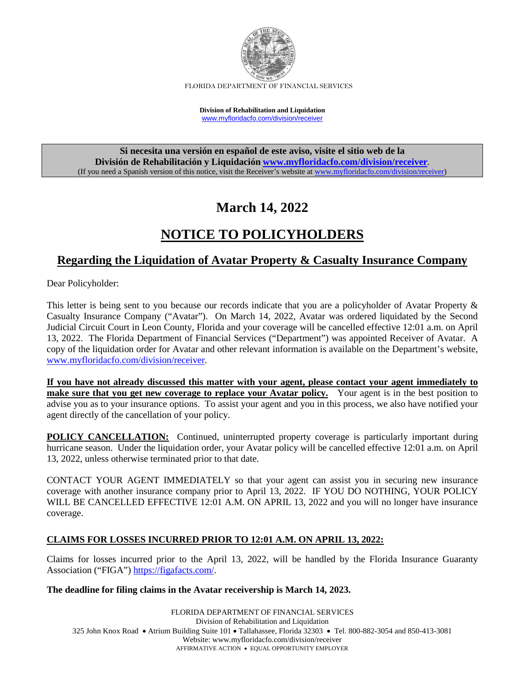

FLORIDA DEPARTMENT OF FINANCIAL SERVICES

**Division of Rehabilitation and Liquidation** [www.myfloridacfo.com/division/receiver](http://www.myfloridacfo.com/division/receiver)

**Si necesita una versión en español de este aviso, visite el sitio web de la División de Rehabilitación y Liquidación [www.myfloridacfo.com/division/receiver](http://www.myfloridacfo.com/division/receiver)**. (If you need a Spanish version of this notice, visit the Receiver's website a[t www.myfloridacfo.com/division/receiver\)](http://www.myfloridacfo.com/division/receiver)

# **March 14, 2022**

# **NOTICE TO POLICYHOLDERS**

### **Regarding the Liquidation of Avatar Property & Casualty Insurance Company**

Dear Policyholder:

This letter is being sent to you because our records indicate that you are a policyholder of Avatar Property & Casualty Insurance Company ("Avatar"). On March 14, 2022, Avatar was ordered liquidated by the Second Judicial Circuit Court in Leon County, Florida and your coverage will be cancelled effective 12:01 a.m. on April 13, 2022. The Florida Department of Financial Services ("Department") was appointed Receiver of Avatar. A copy of the liquidation order for Avatar and other relevant information is available on the Department's website, [www.myfloridacfo.com/division/receiver.](http://www.myfloridacfo.com/division/receiver)

**If you have not already discussed this matter with your agent, please contact your agent immediately to make sure that you get new coverage to replace your Avatar policy.** Your agent is in the best position to advise you as to your insurance options. To assist your agent and you in this process, we also have notified your agent directly of the cancellation of your policy.

**POLICY CANCELLATION:** Continued, uninterrupted property coverage is particularly important during hurricane season. Under the liquidation order, your Avatar policy will be cancelled effective 12:01 a.m. on April 13, 2022, unless otherwise terminated prior to that date.

CONTACT YOUR AGENT IMMEDIATELY so that your agent can assist you in securing new insurance coverage with another insurance company prior to April 13, 2022. IF YOU DO NOTHING, YOUR POLICY WILL BE CANCELLED EFFECTIVE 12:01 A.M. ON APRIL 13, 2022 and you will no longer have insurance coverage.

### **CLAIMS FOR LOSSES INCURRED PRIOR TO 12:01 A.M. ON APRIL 13, 2022:**

Claims for losses incurred prior to the April 13, 2022, will be handled by the Florida Insurance Guaranty Association ("FIGA") [https://figafacts.com/.](https://figafacts.com/)

#### **The deadline for filing claims in the Avatar receivership is March 14, 2023.**